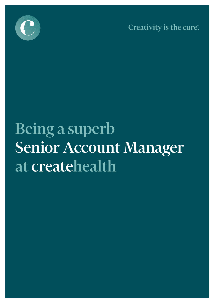

Creativity is the cure.

# Being a superb Senior Account Manager at createhealth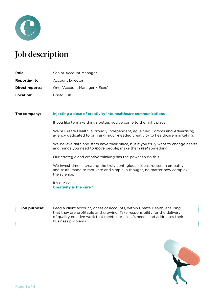

# Job description

| <b>Role:</b>         | Senior Account Manager       |
|----------------------|------------------------------|
| <b>Reporting to:</b> | Account Director             |
| Direct reports:      | One (Account Manager / Exec) |
| <b>Location:</b>     | Bristol, UK                  |

## **The company: Injecting a dose of creativity into healthcare communications**

If you like to make things better, you've come to the right place.

We're Create Health, a proudly independent, agile Med Comms and Advertising agency dedicated to bringing much-needed creativity to healthcare marketing.

We believe data and stats have their place, but if you truly want to change hearts and minds you need to *move* people; make them *feel* something.

Our strategic and creative thinking has the power to do this.

We invest time in creating the truly contagious – ideas rooted in empathy and truth, made to motivate and simple in thought, no matter how complex the science.

It's our cause. **Creativity is the cure**™

**Job purpose:** Lead a client account, or set of accounts, within Create Health, ensuring that they are profitable and growing. Take responsibility for the delivery of quality creative work that meets our client's needs and addresses their business problems.

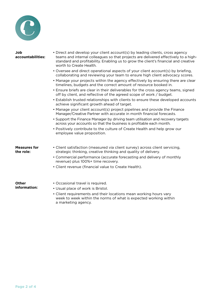

| Job<br>accountabilities:         | • Direct and develop your client account(s) by leading clients, cross agency<br>teams and internal colleagues so that projects are delivered effectively to a high-<br>standard and profitability. Enabling us to grow the client's financial and creative<br>worth to Create Health. |
|----------------------------------|---------------------------------------------------------------------------------------------------------------------------------------------------------------------------------------------------------------------------------------------------------------------------------------|
|                                  | • Oversee and direct operational aspects of your client account(s) by briefing,<br>collaborating and reviewing your team to ensure high client advocacy scores.                                                                                                                       |
|                                  | • Manage your projects within the agency effectively by ensuring there are clear<br>timelines, budgets and the correct amount of resource booked in.                                                                                                                                  |
|                                  | • Ensure briefs are clear in their deliverables for the cross agency teams, signed<br>off by client, and reflective of the agreed scope of work / budget.                                                                                                                             |
|                                  | • Establish trusted relationships with clients to ensure these developed accounts<br>achieve significant growth ahead of target.                                                                                                                                                      |
|                                  | • Manage your client account(s) project pipelines and provide the Finance<br>Manager/Creative Partner with accurate in month financial forecasts.                                                                                                                                     |
|                                  | • Support the Finance Manager by driving team utilisation and recovery targets<br>across your accounts so that the business is profitable each month.                                                                                                                                 |
|                                  | • Positively contribute to the culture of Create Health and help grow our<br>employee value proposition.                                                                                                                                                                              |
| <b>Measures for</b><br>the role: | • Client satisfaction (measured via client survey) across client servicing,<br>strategic thinking, creative thinking and quality of delivery.                                                                                                                                         |
|                                  | • Commercial performance (accurate forecasting and delivery of monthly<br>revenue) plus 100%+ time recovery.                                                                                                                                                                          |
|                                  | • Client revenue (financial value to Create Health).                                                                                                                                                                                                                                  |
| <b>Other</b>                     | • Occasional travel is required.                                                                                                                                                                                                                                                      |
| information:                     | • Usual place of work is Bristol.                                                                                                                                                                                                                                                     |
|                                  | • Client requirements and their locations mean working hours vary<br>week to week within the norms of what is expected working within<br>a marketing agency.                                                                                                                          |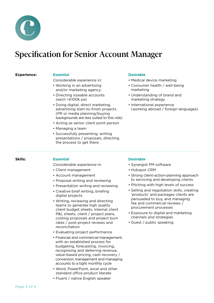

# Specification for Senior Account Manager

**Experience:**

# **Essential**

*Considerable experience in:*

- Working in an advertising and/or marketing agency
- Directing sizeable accounts (each >£100k pa)
- Doing digital, direct marketing, advertising start-to-finish projects (PR or media planning/buying backgrounds are less suited to this role)
- Acting as senior client point person
- Managing a team
- Successfully presenting, writing presentations / proposals, directing the process to get there.

# **Desirable**

- Medical device marketing
- Consumer health / well-being marketing
- Understanding of brand and marketing strategy
- International experience (working abroad / foreign languages)

# **Skills:**

# **Essential**

*Considerable experience in:*

- Client management
- Account management
- Proposal writing and reviewing
- Presentation writing and reviewing
- Creative brief writing, briefing digital projects
- Writing, reviewing and directing teams to generate high quality client budget sheets, internal client P&L sheets, client / project plans, costing proposals and project burn rates / post-project reviews and reconciliation
- Evaluating project performance
- Financial and commercial management, with an established process for budgeting, forecasting, invoicing, recognising and deferring revenue, value-based pricing, cash recovery / conversion management and managing accounts to a tight monthly cycle
- Word, PowerPoint, excel and other standard office product literate
- Fluent / native English speaker

# **Desirable**

- Synergist PM software
- Hubspot CRM
- Strong client-action-planning approach to servicing and developing clients
- Pitching with high levels of success
- Selling and negotiation skills, creating 'products' and packages clients are persuaded to buy, and managing fee and commercial reviews / procurement processes
- Exposure to digital and marketing channels and strategies
- Guest / public speaking